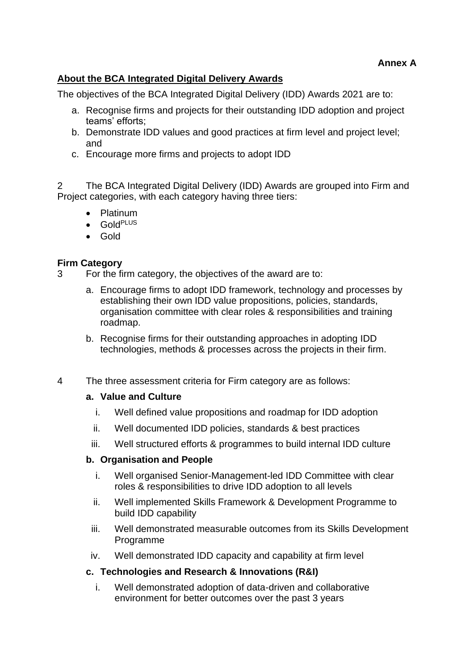# **About the BCA Integrated Digital Delivery Awards**

The objectives of the BCA Integrated Digital Delivery (IDD) Awards 2021 are to:

- a. Recognise firms and projects for their outstanding IDD adoption and project teams' efforts;
- b. Demonstrate IDD values and good practices at firm level and project level; and
- c. Encourage more firms and projects to adopt IDD

2 The BCA Integrated Digital Delivery (IDD) Awards are grouped into Firm and Project categories, with each category having three tiers:

- Platinum
- GoldPLUS
- Gold

## **Firm Category**

- 3 For the firm category, the objectives of the award are to:
	- a. Encourage firms to adopt IDD framework, technology and processes by establishing their own IDD value propositions, policies, standards, organisation committee with clear roles & responsibilities and training roadmap.
	- b. Recognise firms for their outstanding approaches in adopting IDD technologies, methods & processes across the projects in their firm.
- 4 The three assessment criteria for Firm category are as follows:

### **a. Value and Culture**

- i. Well defined value propositions and roadmap for IDD adoption
- ii. Well documented IDD policies, standards & best practices
- iii. Well structured efforts & programmes to build internal IDD culture

### **b. Organisation and People**

- i. Well organised Senior-Management-led IDD Committee with clear roles & responsibilities to drive IDD adoption to all levels
- ii. Well implemented Skills Framework & Development Programme to build IDD capability
- iii. Well demonstrated measurable outcomes from its Skills Development Programme
- iv. Well demonstrated IDD capacity and capability at firm level

## **c. Technologies and Research & Innovations (R&I)**

i. Well demonstrated adoption of data-driven and collaborative environment for better outcomes over the past 3 years